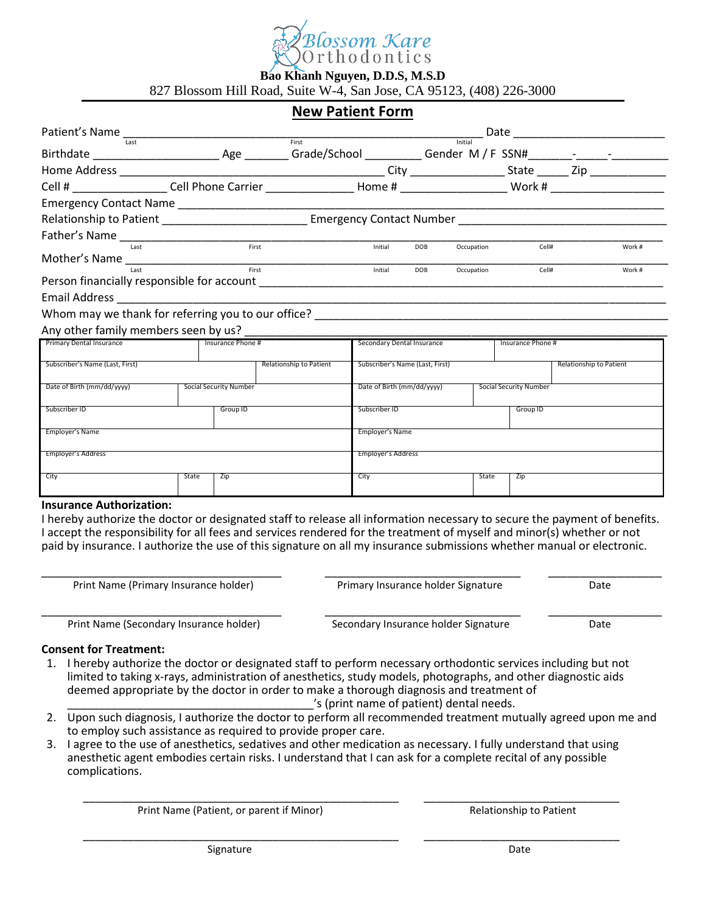

# **Bao Khanh Nguyen, D.D.S, M.S.D**

827 Blossom Hill Road, Suite W-4, San Jose, CA 95123, (408) 226-3000

# **New Patient Form**

| Last                            |                                                                                                                      |                        |                         | First<br>Initial                |            |                            |                        |                         |
|---------------------------------|----------------------------------------------------------------------------------------------------------------------|------------------------|-------------------------|---------------------------------|------------|----------------------------|------------------------|-------------------------|
|                                 |                                                                                                                      |                        |                         |                                 |            |                            |                        |                         |
|                                 |                                                                                                                      |                        |                         |                                 |            |                            |                        |                         |
|                                 |                                                                                                                      |                        |                         |                                 |            |                            |                        |                         |
|                                 | Relationship to Patient ___________________________________ Emergency Contact Number _______________________________ |                        |                         |                                 |            |                            |                        |                         |
|                                 |                                                                                                                      |                        |                         |                                 |            |                            |                        |                         |
| Last                            |                                                                                                                      |                        | First                   | Initial                         | <b>DOB</b> | Occupation                 | Cell#                  | Work#                   |
| Mother's Name $\frac{1}{120}$   |                                                                                                                      |                        |                         | Initial                         | <b>DOB</b> | Occupation                 | Cell#                  | Work#                   |
|                                 |                                                                                                                      |                        |                         |                                 |            |                            |                        |                         |
|                                 |                                                                                                                      |                        |                         |                                 |            |                            |                        |                         |
|                                 |                                                                                                                      |                        |                         |                                 |            |                            |                        |                         |
|                                 |                                                                                                                      |                        |                         |                                 |            |                            |                        |                         |
| Primary Dental Insurance        |                                                                                                                      | Insurance Phone #      |                         |                                 |            | Secondary Dental Insurance | Insurance Phone #      |                         |
| Subscriber's Name (Last, First) |                                                                                                                      |                        | Relationship to Patient | Subscriber's Name (Last, First) |            |                            |                        | Relationship to Patient |
| Date of Birth (mm/dd/yyyy)      |                                                                                                                      | Social Security Number |                         | Date of Birth (mm/dd/yyyy)      |            |                            | Social Security Number |                         |
| Subscriber ID                   | Group ID                                                                                                             |                        |                         | Subscriber ID                   |            |                            | Group ID               |                         |
| Employer's Name                 |                                                                                                                      |                        |                         | Employer's Name                 |            |                            |                        |                         |
| Employer's Address              |                                                                                                                      |                        |                         | Employer's Address              |            |                            |                        |                         |
| City                            | State                                                                                                                | Zip                    |                         | City                            |            | State                      | Zip                    |                         |

#### **Insurance Authorization:**

I hereby authorize the doctor or designated staff to release all information necessary to secure the payment of benefits. I accept the responsibility for all fees and services rendered for the treatment of myself and minor(s) whether or not paid by insurance. I authorize the use of this signature on all my insurance submissions whether manual or electronic.

\_\_\_\_\_\_\_\_\_\_\_\_\_\_\_\_\_\_\_\_\_\_\_\_\_\_\_\_\_\_\_\_\_\_\_\_\_\_ \_\_\_\_\_\_\_\_\_\_\_\_\_\_\_\_\_\_\_\_\_\_\_\_\_\_\_\_\_\_\_ \_\_\_\_\_\_\_\_\_\_\_\_\_\_\_\_\_\_

Print Name (Primary Insurance holder) Primary Insurance holder Signature Date

Print Name (Secondary Insurance holder) Secondary Insurance holder Signature Date

\_\_\_\_\_\_\_\_\_\_\_\_\_\_\_\_\_\_\_\_\_\_\_\_\_\_\_\_\_\_\_\_\_\_\_\_\_\_ \_\_\_\_\_\_\_\_\_\_\_\_\_\_\_\_\_\_\_\_\_\_\_\_\_\_\_\_\_\_\_ \_\_\_\_\_\_\_\_\_\_\_\_\_\_\_\_\_\_

### **Consent for Treatment:**

- 1. I hereby authorize the doctor or designated staff to perform necessary orthodontic services including but not limited to taking x-rays, administration of anesthetics, study models, photographs, and other diagnostic aids deemed appropriate by the doctor in order to make a thorough diagnosis and treatment of
	- 's (print name of patient) dental needs.
- 2. Upon such diagnosis, I authorize the doctor to perform all recommended treatment mutually agreed upon me and to employ such assistance as required to provide proper care.

\_\_\_\_\_\_\_\_\_\_\_\_\_\_\_\_\_\_\_\_\_\_\_\_\_\_\_\_\_\_\_\_\_\_\_\_\_\_\_\_\_\_\_\_\_\_\_\_\_\_ \_\_\_\_\_\_\_\_\_\_\_\_\_\_\_\_\_\_\_\_\_\_\_\_\_\_\_\_\_\_\_

\_\_\_\_\_\_\_\_\_\_\_\_\_\_\_\_\_\_\_\_\_\_\_\_\_\_\_\_\_\_\_\_\_\_\_\_\_\_\_\_\_\_\_\_\_\_\_\_\_\_ \_\_\_\_\_\_\_\_\_\_\_\_\_\_\_\_\_\_\_\_\_\_\_\_\_\_\_\_\_\_\_

3. I agree to the use of anesthetics, sedatives and other medication as necessary. I fully understand that using anesthetic agent embodies certain risks. I understand that I can ask for a complete recital of any possible complications.

Print Name (Patient, or parent if Minor) Relationship to Patient